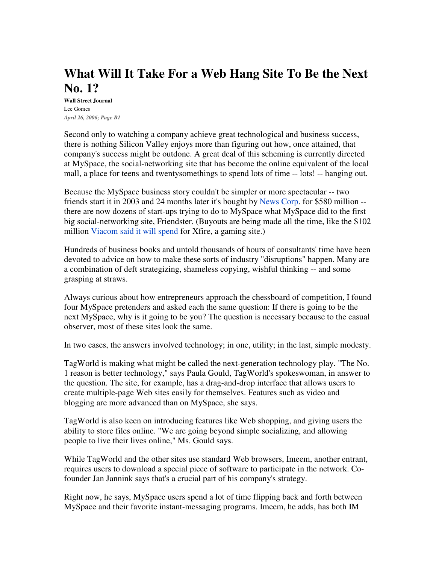## **What Will It Take For a Web Hang Site To Be the Next No. 1?**

**Wall Street Journal** Lee Gomes *April 26, 2006; Page B1*

Second only to watching a company achieve great technological and business success, there is nothing Silicon Valley enjoys more than figuring out how, once attained, that company's success might be outdone. A great deal of this scheming is currently directed at MySpace, the social-networking site that has become the online equivalent of the local mall, a place for teens and twentysomethings to spend lots of time -- lots! -- hanging out.

Because the MySpace business story couldn't be simpler or more spectacular -- two friends start it in 2003 and 24 months later it's bought by News Corp. for \$580 million - there are now dozens of start-ups trying to do to MySpace what MySpace did to the first big social-networking site, Friendster. (Buyouts are being made all the time, like the \$102 million Viacom said it will spend for Xfire, a gaming site.)

Hundreds of business books and untold thousands of hours of consultants' time have been devoted to advice on how to make these sorts of industry "disruptions" happen. Many are a combination of deft strategizing, shameless copying, wishful thinking -- and some grasping at straws.

Always curious about how entrepreneurs approach the chessboard of competition, I found four MySpace pretenders and asked each the same question: If there is going to be the next MySpace, why is it going to be you? The question is necessary because to the casual observer, most of these sites look the same.

In two cases, the answers involved technology; in one, utility; in the last, simple modesty.

TagWorld is making what might be called the next-generation technology play. "The No. 1 reason is better technology," says Paula Gould, TagWorld's spokeswoman, in answer to the question. The site, for example, has a drag-and-drop interface that allows users to create multiple-page Web sites easily for themselves. Features such as video and blogging are more advanced than on MySpace, she says.

TagWorld is also keen on introducing features like Web shopping, and giving users the ability to store files online. "We are going beyond simple socializing, and allowing people to live their lives online," Ms. Gould says.

While TagWorld and the other sites use standard Web browsers, Imeem, another entrant, requires users to download a special piece of software to participate in the network. Cofounder Jan Jannink says that's a crucial part of his company's strategy.

Right now, he says, MySpace users spend a lot of time flipping back and forth between MySpace and their favorite instant-messaging programs. Imeem, he adds, has both IM